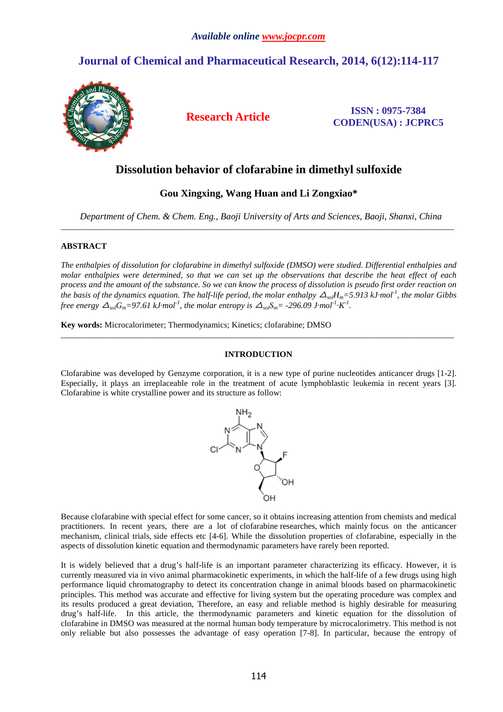# **Journal of Chemical and Pharmaceutical Research, 2014, 6(12):114-117**



**Research Article ISSN : 0975-7384 CODEN(USA) : JCPRC5**

## **Dissolution behavior of clofarabine in dimethyl sulfoxide**

## **Gou Xingxing, Wang Huan and Li Zongxiao\***

*Department of Chem. & Chem. Eng., Baoji University of Arts and Sciences, Baoji, Shanxi, China*  \_\_\_\_\_\_\_\_\_\_\_\_\_\_\_\_\_\_\_\_\_\_\_\_\_\_\_\_\_\_\_\_\_\_\_\_\_\_\_\_\_\_\_\_\_\_\_\_\_\_\_\_\_\_\_\_\_\_\_\_\_\_\_\_\_\_\_\_\_\_\_\_\_\_\_\_\_\_\_\_\_\_\_\_\_\_\_\_\_\_\_\_\_

## **ABSTRACT**

*The enthalpies of dissolution for clofarabine in dimethyl sulfoxide (DMSO) were studied. Differential enthalpies and molar enthalpies were determined, so that we can set up the observations that describe the heat effect of each process and the amount of the substance. So we can know the process of dissolution is pseudo first order reaction on the basis of the dynamics equation. The half-life period, the molar enthalpy*  $\Delta_{sol}H_m = 5.913 \text{ kJ} \cdot \text{mol}^1$ *, the molar Gibbs free energy*  $\Delta_{sol}G_m=97.61$  kJ·mol<sup>-1</sup>, the molar entropy is  $\Delta_{sol}S_m=$  -296.09 J·mol<sup>-1</sup>·K<sup>-1</sup>.

**Key words:** Microcalorimeter; Thermodynamics; Kinetics; clofarabine; DMSO

## **INTRODUCTION**

\_\_\_\_\_\_\_\_\_\_\_\_\_\_\_\_\_\_\_\_\_\_\_\_\_\_\_\_\_\_\_\_\_\_\_\_\_\_\_\_\_\_\_\_\_\_\_\_\_\_\_\_\_\_\_\_\_\_\_\_\_\_\_\_\_\_\_\_\_\_\_\_\_\_\_\_\_\_\_\_\_\_\_\_\_\_\_\_\_\_\_\_\_

Clofarabine was developed by Genzyme corporation, it is a new type of purine nucleotides anticancer drugs [1-2]. Especially, it plays an irreplaceable role in the treatment of acute lymphoblastic leukemia in recent years [3]. Clofarabine is white crystalline power and its structure as follow:



Because clofarabine with special effect for some cancer, so it obtains increasing attention from chemists and medical practitioners. In recent years, there are a lot of clofarabine researches, which mainly focus on the anticancer mechanism, clinical trials, side effects etc [4-6]. While the dissolution properties of clofarabine, especially in the aspects of dissolution kinetic equation and thermodynamic parameters have rarely been reported.

It is widely believed that a drug's half-life is an important parameter characterizing its efficacy. However, it is currently measured via in vivo animal pharmacokinetic experiments, in which the half-life of a few drugs using high performance liquid chromatography to detect its concentration change in animal bloods based on pharmacokinetic principles. This method was accurate and effective for living system but the operating procedure was complex and its results produced a great deviation, Therefore, an easy and reliable method is highly desirable for measuring drug's half-life. In this article, the thermodynamic parameters and kinetic equation for the dissolution of clofarabine in DMSO was measured at the normal human body temperature by microcalorimetry. This method is not only reliable but also possesses the advantage of easy operation [7-8]. In particular, because the entropy of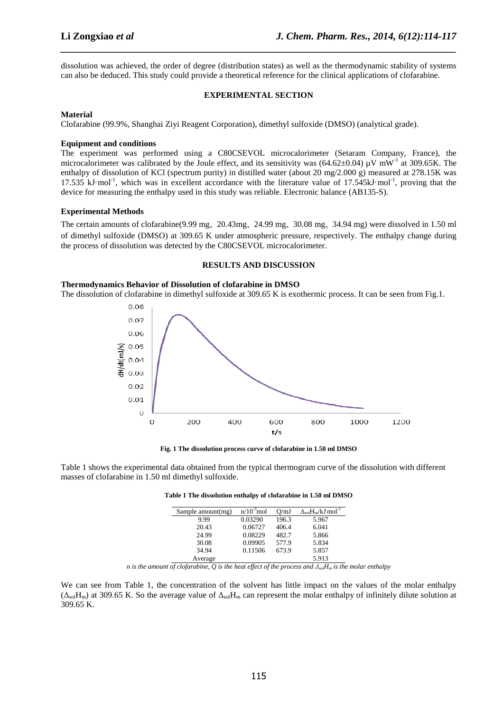dissolution was achieved, the order of degree (distribution states) as well as the thermodynamic stability of systems can also be deduced. This study could provide a theoretical reference for the clinical applications of clofarabine.

*\_\_\_\_\_\_\_\_\_\_\_\_\_\_\_\_\_\_\_\_\_\_\_\_\_\_\_\_\_\_\_\_\_\_\_\_\_\_\_\_\_\_\_\_\_\_\_\_\_\_\_\_\_\_\_\_\_\_\_\_\_\_\_\_\_\_\_\_\_\_\_\_\_\_\_\_\_\_*

## **EXPERIMENTAL SECTION**

### **Material**

Clofarabine (99.9%, Shanghai Ziyi Reagent Corporation), dimethyl sulfoxide (DMSO) (analytical grade).

#### **Equipment and conditions**

The experiment was performed using a C80CSEVOL microcalorimeter (Setaram Company, France), the microcalorimeter was calibrated by the Joule effect, and its sensitivity was  $(64.62\pm0.04)$  uV mW<sup>-1</sup> at 309.65K. The enthalpy of dissolution of KCl (spectrum purity) in distilled water (about 20 mg/2.000 g) measured at 278.15K was 17.535 kJ·mol<sup>-1</sup>, which was in excellent accordance with the literature value of 17.545kJ·mol<sup>-1</sup>, proving that the device for measuring the enthalpy used in this study was reliable. Electronic balance (AB135-S).

### **Experimental Methods**

The certain amounts of clofarabine(9.99 mg、20.43mg、24.99 mg、30.08 mg、34.94 mg) were dissolved in 1.50 ml of dimethyl sulfoxide (DMSO) at 309.65 K under atmospheric pressure, respectively. The enthalpy change during the process of dissolution was detected by the C80CSEVOL microcalorimeter.

#### **RESULTS AND DISCUSSION**

#### **Thermodynamics Behavior of Dissolution of clofarabine in DMSO**

The dissolution of clofarabine in dimethyl sulfoxide at 309.65 K is exothermic process. It can be seen from Fig.1.



**Fig. 1 The dissolution process curve of clofarabine in 1.50 ml DMSO** 

Table 1 shows the experimental data obtained from the typical thermogram curve of the dissolution with different masses of clofarabine in 1.50 ml dimethyl sulfoxide.

| Sample amount(mg) | $n/10^{-3}$ mol | O/mJ  | $\Delta_{sol}H_m/kJ$ mol <sup>-1</sup> |
|-------------------|-----------------|-------|----------------------------------------|
| 9.99              | 0.03290         | 196.3 | 5.967                                  |
| 20.43             | 0.06727         | 406.4 | 6.041                                  |
| 24.99             | 0.08229         | 482.7 | 5.866                                  |
| 30.08             | 0.09905         | 577.9 | 5.834                                  |
| 34.94             | 0.11506         | 673.9 | 5.857                                  |
| Average           |                 |       | 5.913                                  |

**Table 1 The dissolution enthalpy of clofarabine in 1.50 ml DMSO** 

*n* is the amount of clofarabine, Q is the heat effect of the process and  $\Delta_{sol}H_m$  is the molar enthalpy

We can see from Table 1, the concentration of the solvent has little impact on the values of the molar enthalpy  $(\Delta_{sol}H_m)$  at 309.65 K. So the average value of  $\Delta_{sol}H_m$  can represent the molar enthalpy of infinitely dilute solution at 309.65 K.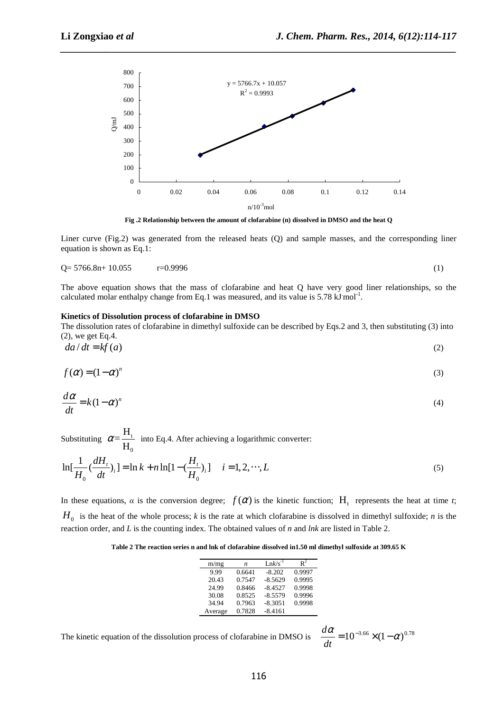

*\_\_\_\_\_\_\_\_\_\_\_\_\_\_\_\_\_\_\_\_\_\_\_\_\_\_\_\_\_\_\_\_\_\_\_\_\_\_\_\_\_\_\_\_\_\_\_\_\_\_\_\_\_\_\_\_\_\_\_\_\_\_\_\_\_\_\_\_\_\_\_\_\_\_\_\_\_\_*

**Fig .2 Relationship between the amount of clofarabine (n) dissolved in DMSO and the heat Q**

Liner curve (Fig.2) was generated from the released heats (Q) and sample masses, and the corresponding liner equation is shown as Eq.1:

$$
Q = 5766.8n + 10.055 \t r = 0.9996 \t (1)
$$

The above equation shows that the mass of clofarabine and heat Q have very good liner relationships, so the calculated molar enthalpy change from Eq.1 was measured, and its value is  $5.78 \text{ kJ} \text{ mol}^{-1}$ .

#### **Kinetics of Dissolution process of clofarabine in DMSO**

The dissolution rates of clofarabine in dimethyl sulfoxide can be described by Eqs.2 and 3, then substituting (3) into (2), we get Eq.4.

$$
da/dt = kf(a) \tag{2}
$$

$$
f(\alpha) = (1 - \alpha)^n \tag{3}
$$

$$
\frac{d\alpha}{dt} = k(1-\alpha)^n\tag{4}
$$

Substituting  $\alpha = \frac{H_t}{H}$ 0  $=\frac{H}{H}$  $\alpha = \frac{H_0}{H_0}$  into Eq.4. After achieving a logarithmic converter:

$$
\ln[\frac{1}{H_0}(\frac{dH_t}{dt})_i] = \ln k + n \ln[1 - (\frac{H_t}{H_0})_i] \quad i = 1, 2, \cdots, L
$$
 (5)

In these equations,  $\alpha$  is the conversion degree;  $f(\alpha)$  is the kinetic function; H<sub>t</sub> represents the heat at time *t*;  $H_0$  is the heat of the whole process; *k* is the rate at which clofarabine is dissolved in dimethyl sulfoxide; *n* is the reaction order, and *L* is the counting index. The obtained values of *n* and *lnk* are listed in Table 2.

**Table 2 The reaction series n and lnk of clofarabine dissolved in1.50 ml dimethyl sulfoxide at 309.65 K** 

| m/mg    | n      | $Lnk/s^{-1}$ | $\mathbb{R}^2$ |
|---------|--------|--------------|----------------|
| 9.99    | 0.6641 | $-8.202$     | 0.9997         |
| 20.43   | 0.7547 | $-8.5629$    | 0.9995         |
| 24.99   | 0.8466 | $-8.4527$    | 0.9998         |
| 30.08   | 0.8525 | $-8.5579$    | 0.9996         |
| 34.94   | 0.7963 | $-8.3051$    | 0.9998         |
| Average | 0.7828 | $-8.4161$    |                |

The kinetic equation of the dissolution process of clofarabine in DMSO is

$$
\frac{d\alpha}{dt} = 10^{-3.66} \times (1 - \alpha)^{0.78}
$$